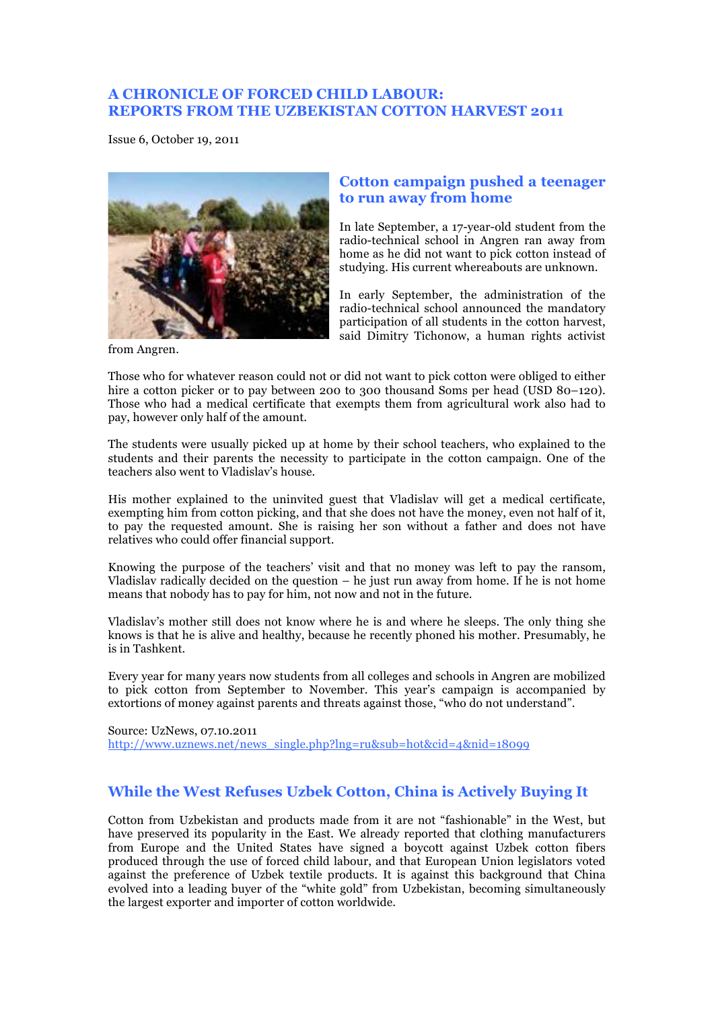# **A CHRONICLE OF FORCED CHILD LABOUR: REPORTS FROM THE UZBEKISTAN COTTON HARVEST 2011**

Issue 6, October 19, 2011



## **Cotton campaign pushed a teenager to run away from home**

In late September, a 17-year-old student from the radio-technical school in Angren ran away from home as he did not want to pick cotton instead of studying. His current whereabouts are unknown.

In early September, the administration of the radio-technical school announced the mandatory participation of all students in the cotton harvest, said Dimitry Tichonow, a human rights activist

from Angren.

Those who for whatever reason could not or did not want to pick cotton were obliged to either hire a cotton picker or to pay between 200 to 300 thousand Soms per head (USD 80–120). Those who had a medical certificate that exempts them from agricultural work also had to pay, however only half of the amount.

The students were usually picked up at home by their school teachers, who explained to the students and their parents the necessity to participate in the cotton campaign. One of the teachers also went to Vladislav's house.

His mother explained to the uninvited guest that Vladislav will get a medical certificate, exempting him from cotton picking, and that she does not have the money, even not half of it, to pay the requested amount. She is raising her son without a father and does not have relatives who could offer financial support.

Knowing the purpose of the teachers' visit and that no money was left to pay the ransom, Vladislav radically decided on the question – he just run away from home. If he is not home means that nobody has to pay for him, not now and not in the future.

Vladislav's mother still does not know where he is and where he sleeps. The only thing she knows is that he is alive and healthy, because he recently phoned his mother. Presumably, he is in Tashkent.

Every year for many years now students from all colleges and schools in Angren are mobilized to pick cotton from September to November. This year's campaign is accompanied by extortions of money against parents and threats against those, "who do not understand".

Source: UzNews, 07.10.2011 http://www.uznews.net/news\_single.php?lng=ru&sub=hot&cid=4&nid=18099

# **While the West Refuses Uzbek Cotton, China is Actively Buying It**

Cotton from Uzbekistan and products made from it are not "fashionable" in the West, but have preserved its popularity in the East. We already reported that clothing manufacturers from Europe and the United States have signed a boycott against Uzbek cotton fibers produced through the use of forced child labour, and that European Union legislators voted against the preference of Uzbek textile products. It is against this background that China evolved into a leading buyer of the "white gold" from Uzbekistan, becoming simultaneously the largest exporter and importer of cotton worldwide.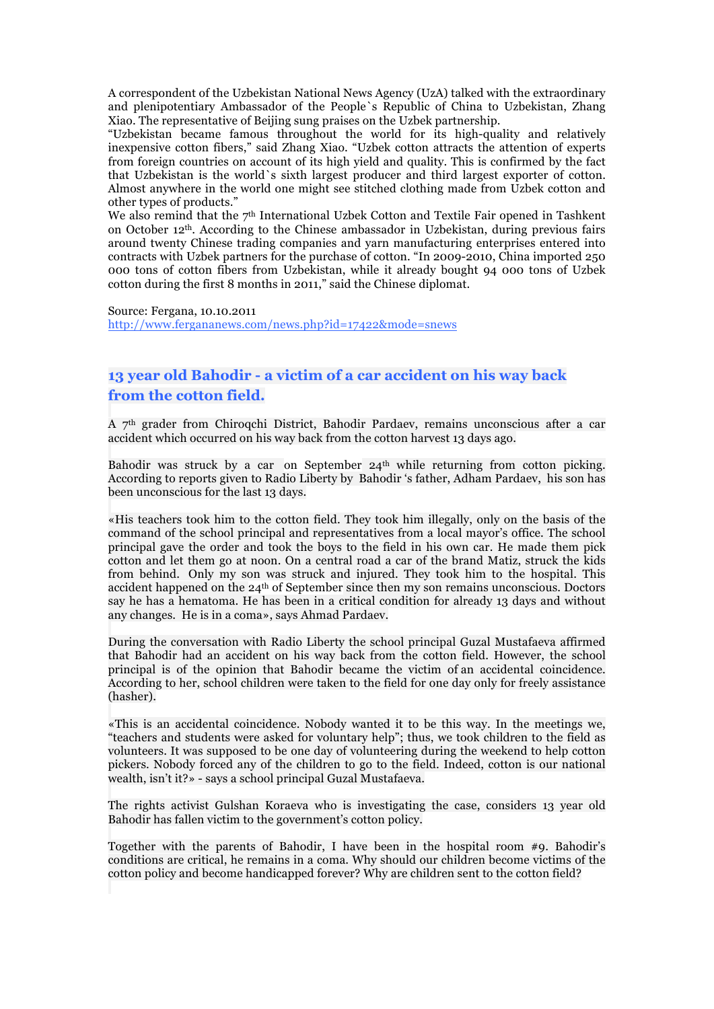A correspondent of the Uzbekistan National News Agency (UzA) talked with the extraordinary and plenipotentiary Ambassador of the People`s Republic of China to Uzbekistan, Zhang Xiao. The representative of Beijing sung praises on the Uzbek partnership.

"Uzbekistan became famous throughout the world for its high-quality and relatively inexpensive cotton fibers," said Zhang Xiao. "Uzbek cotton attracts the attention of experts from foreign countries on account of its high yield and quality. This is confirmed by the fact that Uzbekistan is the world`s sixth largest producer and third largest exporter of cotton. Almost anywhere in the world one might see stitched clothing made from Uzbek cotton and other types of products."

We also remind that the 7<sup>th</sup> International Uzbek Cotton and Textile Fair opened in Tashkent on October 12th. According to the Chinese ambassador in Uzbekistan, during previous fairs around twenty Chinese trading companies and yarn manufacturing enterprises entered into contracts with Uzbek partners for the purchase of cotton. "In 2009-2010, China imported 250 000 tons of cotton fibers from Uzbekistan, while it already bought 94 000 tons of Uzbek cotton during the first 8 months in 2011," said the Chinese diplomat.

Source: Fergana, 10.10.2011

http://www.fergananews.com/news.php?id=17422&mode=snews

# **13 year old Bahodir - a victim of a car accident on his way back from the cotton field.**

A 7th grader from Chiroqchi District, Bahodir Pardaev, remains unconscious after a car accident which occurred on his way back from the cotton harvest 13 days ago.

Bahodir was struck by a car on September  $24<sup>th</sup>$  while returning from cotton picking. According to reports given to Radio Liberty by Bahodir 's father, Adham Pardaev, his son has been unconscious for the last 13 days.

«His teachers took him to the cotton field. They took him illegally, only on the basis of the command of the school principal and representatives from a local mayor's office. The school principal gave the order and took the boys to the field in his own car. He made them pick cotton and let them go at noon. On a central road a car of the brand Matiz, struck the kids from behind. Only my son was struck and injured. They took him to the hospital. This accident happened on the 24th of September since then my son remains unconscious. Doctors say he has a hematoma. He has been in a critical condition for already 13 days and without any changes. He is in a coma», says Ahmad Pardaev.

During the conversation with Radio Liberty the school principal Guzal Mustafaeva affirmed that Bahodir had an accident on his way back from the cotton field. However, the school principal is of the opinion that Bahodir became the victim of an accidental coincidence. According to her, school children were taken to the field for one day only for freely assistance (hasher).

«This is an accidental coincidence. Nobody wanted it to be this way. In the meetings we, "teachers and students were asked for voluntary help"; thus, we took children to the field as volunteers. It was supposed to be one day of volunteering during the weekend to help cotton pickers. Nobody forced any of the children to go to the field. Indeed, cotton is our national wealth, isn't it?» - says a school principal Guzal Mustafaeva.

The rights activist Gulshan Koraeva who is investigating the case, considers 13 year old Bahodir has fallen victim to the government's cotton policy.

Together with the parents of Bahodir, I have been in the hospital room #9. Bahodir's conditions are critical, he remains in a coma. Why should our children become victims of the cotton policy and become handicapped forever? Why are children sent to the cotton field?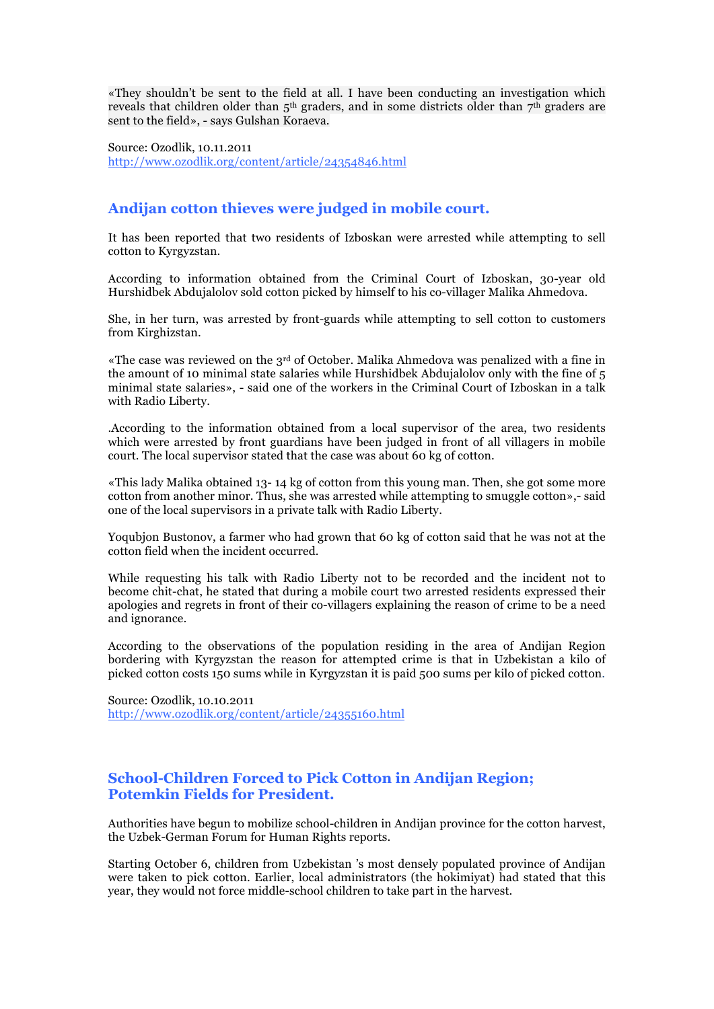«They shouldn't be sent to the field at all. I have been conducting an investigation which reveals that children older than  $5<sup>th</sup>$  graders, and in some districts older than  $7<sup>th</sup>$  graders are sent to the field», - says Gulshan Koraeva.

Source: Ozodlik, 10.11.2011 http://www.ozodlik.org/content/article/24354846.html

# **Andijan cotton thieves were judged in mobile court.**

It has been reported that two residents of Izboskan were arrested while attempting to sell cotton to Kyrgyzstan.

According to information obtained from the Criminal Court of Izboskan, 30-year old Hurshidbek Abdujalolov sold cotton picked by himself to his co-villager Malika Ahmedova.

She, in her turn, was arrested by front-guards while attempting to sell cotton to customers from Kirghizstan.

«The case was reviewed on the 3rd of October. Malika Ahmedova was penalized with a fine in the amount of 10 minimal state salaries while Hurshidbek Abdujalolov only with the fine of 5 minimal state salaries», - said one of the workers in the Criminal Court of Izboskan in a talk with Radio Liberty.

.According to the information obtained from a local supervisor of the area, two residents which were arrested by front guardians have been judged in front of all villagers in mobile court. The local supervisor stated that the case was about 60 kg of cotton.

«This lady Malika obtained 13- 14 kg of cotton from this young man. Then, she got some more cotton from another minor. Thus, she was arrested while attempting to smuggle cotton»,- said one of the local supervisors in a private talk with Radio Liberty.

Yoqubjon Bustonov, a farmer who had grown that 60 kg of cotton said that he was not at the cotton field when the incident occurred.

While requesting his talk with Radio Liberty not to be recorded and the incident not to become chit-chat, he stated that during a mobile court two arrested residents expressed their apologies and regrets in front of their co-villagers explaining the reason of crime to be a need and ignorance.

According to the observations of the population residing in the area of Andijan Region bordering with Kyrgyzstan the reason for attempted crime is that in Uzbekistan a kilo of picked cotton costs 150 sums while in Kyrgyzstan it is paid 500 sums per kilo of picked cotton.

Source: Ozodlik, 10.10.2011 http://www.ozodlik.org/content/article/24355160.html

# **School-Children Forced to Pick Cotton in Andijan Region; Potemkin Fields for President.**

Authorities have begun to mobilize school-children in Andijan province for the cotton harvest, the Uzbek-German Forum for Human Rights reports.

Starting October 6, children from Uzbekistan 's most densely populated province of Andijan were taken to pick cotton. Earlier, local administrators (the hokimiyat) had stated that this year, they would not force middle-school children to take part in the harvest.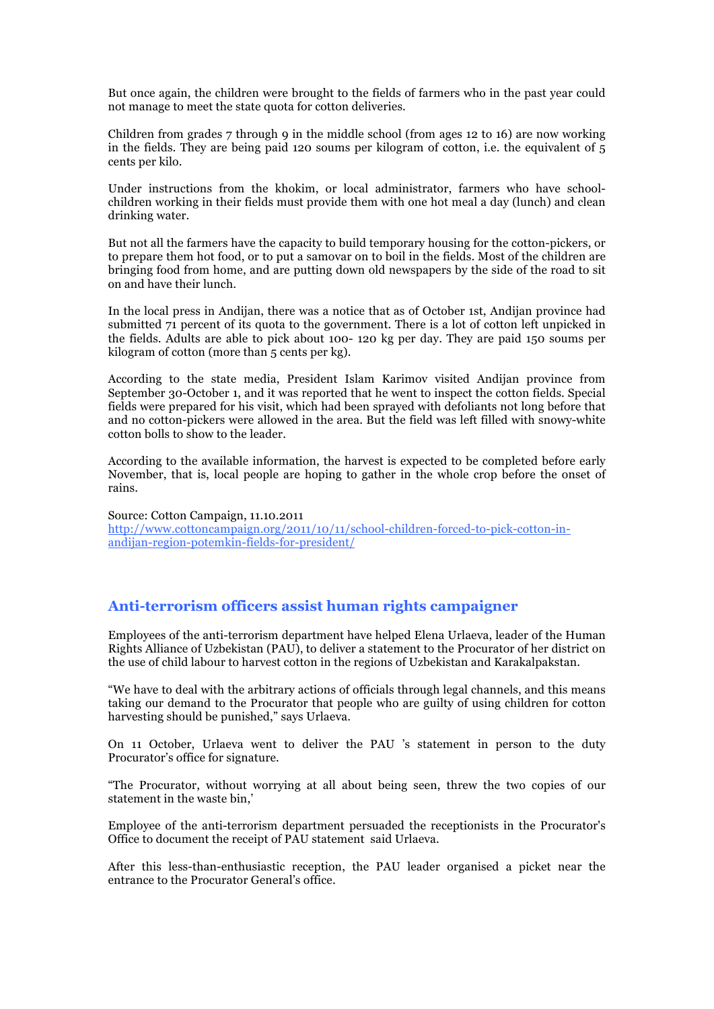But once again, the children were brought to the fields of farmers who in the past year could not manage to meet the state quota for cotton deliveries.

Children from grades 7 through 9 in the middle school (from ages 12 to 16) are now working in the fields. They are being paid 120 soums per kilogram of cotton, i.e. the equivalent of 5 cents per kilo.

Under instructions from the khokim, or local administrator, farmers who have schoolchildren working in their fields must provide them with one hot meal a day (lunch) and clean drinking water.

But not all the farmers have the capacity to build temporary housing for the cotton-pickers, or to prepare them hot food, or to put a samovar on to boil in the fields. Most of the children are bringing food from home, and are putting down old newspapers by the side of the road to sit on and have their lunch.

In the local press in Andijan, there was a notice that as of October 1st, Andijan province had submitted 71 percent of its quota to the government. There is a lot of cotton left unpicked in the fields. Adults are able to pick about 100- 120 kg per day. They are paid 150 soums per kilogram of cotton (more than 5 cents per kg).

According to the state media, President Islam Karimov visited Andijan province from September 30-October 1, and it was reported that he went to inspect the cotton fields. Special fields were prepared for his visit, which had been sprayed with defoliants not long before that and no cotton-pickers were allowed in the area. But the field was left filled with snowy-white cotton bolls to show to the leader.

According to the available information, the harvest is expected to be completed before early November, that is, local people are hoping to gather in the whole crop before the onset of rains.

Source: Cotton Campaign, 11.10.2011 http://www.cottoncampaign.org/2011/10/11/school-children-forced-to-pick-cotton-inandijan-region-potemkin-fields-for-president/

# **Anti-terrorism officers assist human rights campaigner**

Employees of the anti-terrorism department have helped Elena Urlaeva, leader of the Human Rights Alliance of Uzbekistan (PAU), to deliver a statement to the Procurator of her district on the use of child labour to harvest cotton in the regions of Uzbekistan and Karakalpakstan.

"We have to deal with the arbitrary actions of officials through legal channels, and this means taking our demand to the Procurator that people who are guilty of using children for cotton harvesting should be punished," says Urlaeva.

On 11 October, Urlaeva went to deliver the PAU 's statement in person to the duty Procurator's office for signature.

"The Procurator, without worrying at all about being seen, threw the two copies of our statement in the waste bin,'

Employee of the anti-terrorism department persuaded the receptionists in the Procurator's Office to document the receipt of PAU statement said Urlaeva.

After this less-than-enthusiastic reception, the PAU leader organised a picket near the entrance to the Procurator General's office.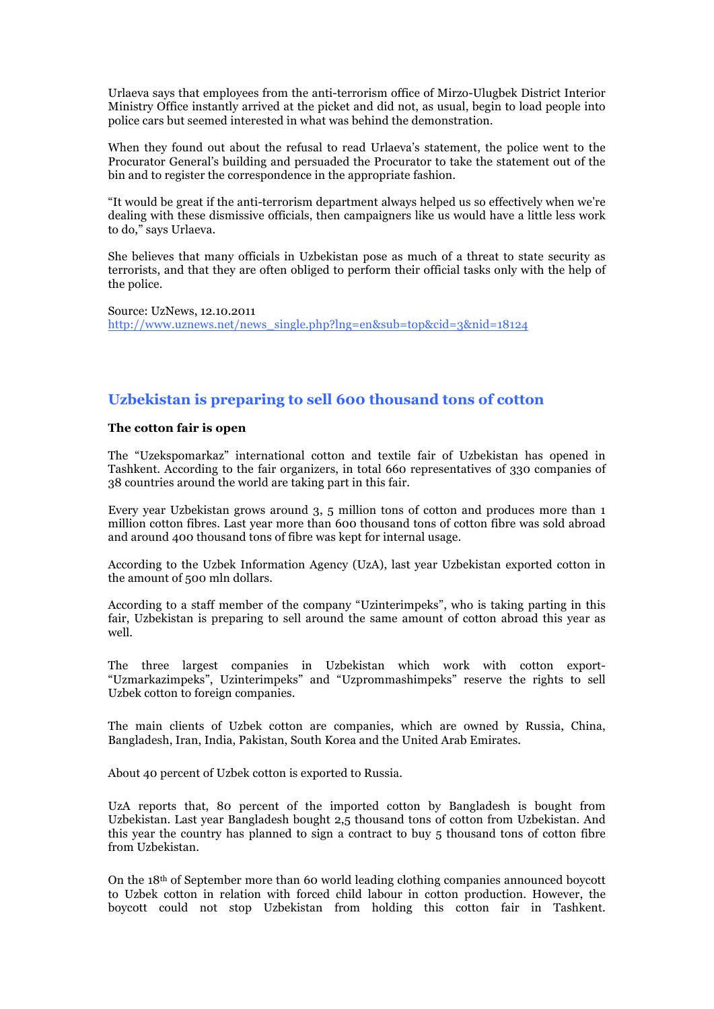Urlaeva says that employees from the anti-terrorism office of Mirzo-Ulugbek District Interior Ministry Office instantly arrived at the picket and did not, as usual, begin to load people into police cars but seemed interested in what was behind the demonstration.

When they found out about the refusal to read Urlaeva's statement, the police went to the Procurator General's building and persuaded the Procurator to take the statement out of the bin and to register the correspondence in the appropriate fashion.

"It would be great if the anti-terrorism department always helped us so effectively when we're dealing with these dismissive officials, then campaigners like us would have a little less work to do," says Urlaeva.

She believes that many officials in Uzbekistan pose as much of a threat to state security as terrorists, and that they are often obliged to perform their official tasks only with the help of the police.

Source: UzNews, 12.10.2011 http://www.uznews.net/news\_single.php?lng=en&sub=top&cid=3&nid=18124

# **Uzbekistan is preparing to sell 600 thousand tons of cotton**

#### **The cotton fair is open**

The "Uzekspomarkaz" international cotton and textile fair of Uzbekistan has opened in Tashkent. According to the fair organizers, in total 660 representatives of 330 companies of 38 countries around the world are taking part in this fair.

Every year Uzbekistan grows around 3, 5 million tons of cotton and produces more than 1 million cotton fibres. Last year more than 600 thousand tons of cotton fibre was sold abroad and around 400 thousand tons of fibre was kept for internal usage.

According to the Uzbek Information Agency (UzA), last year Uzbekistan exported cotton in the amount of 500 mln dollars.

According to a staff member of the company "Uzinterimpeks", who is taking parting in this fair, Uzbekistan is preparing to sell around the same amount of cotton abroad this year as well.

The three largest companies in Uzbekistan which work with cotton export- "Uzmarkazimpeks", Uzinterimpeks" and "Uzprommashimpeks" reserve the rights to sell Uzbek cotton to foreign companies.

The main clients of Uzbek cotton are companies, which are owned by Russia, China, Bangladesh, Iran, India, Pakistan, South Korea and the United Arab Emirates.

About 40 percent of Uzbek cotton is exported to Russia.

UzA reports that, 80 percent of the imported cotton by Bangladesh is bought from Uzbekistan. Last year Bangladesh bought 2,5 thousand tons of cotton from Uzbekistan. And this year the country has planned to sign a contract to buy 5 thousand tons of cotton fibre from Uzbekistan.

On the 18th of September more than 60 world leading clothing companies announced boycott to Uzbek cotton in relation with forced child labour in cotton production. However, the boycott could not stop Uzbekistan from holding this cotton fair in Tashkent.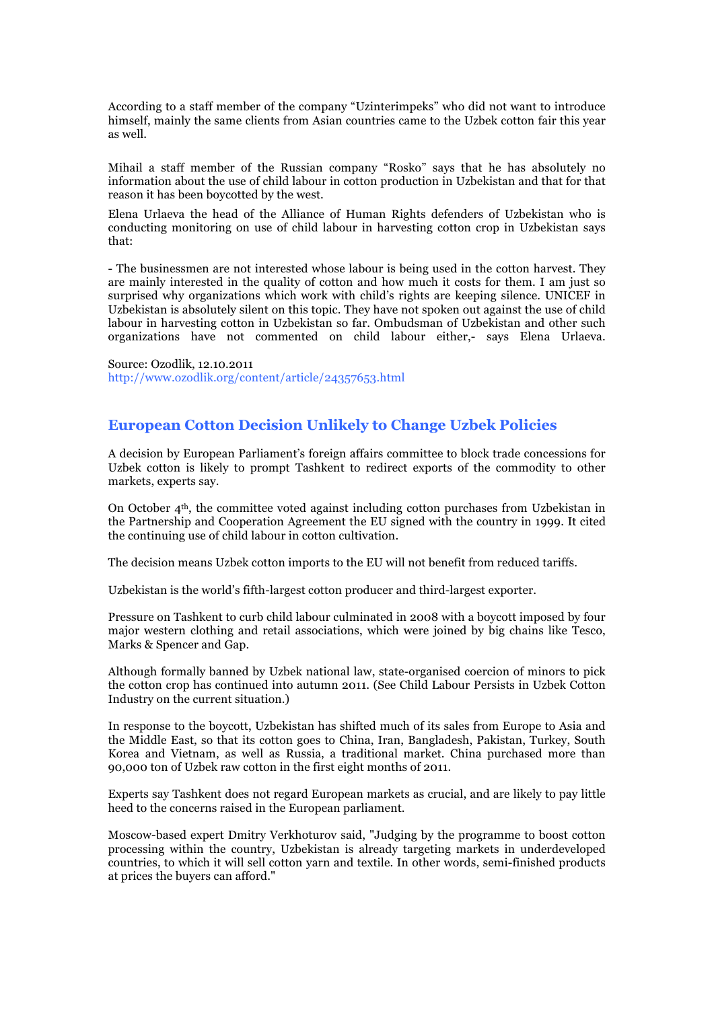According to a staff member of the company "Uzinterimpeks" who did not want to introduce himself, mainly the same clients from Asian countries came to the Uzbek cotton fair this year as well.

Mihail a staff member of the Russian company "Rosko" says that he has absolutely no information about the use of child labour in cotton production in Uzbekistan and that for that reason it has been boycotted by the west.

Elena Urlaeva the head of the Alliance of Human Rights defenders of Uzbekistan who is conducting monitoring on use of child labour in harvesting cotton crop in Uzbekistan says that:

- The businessmen are not interested whose labour is being used in the cotton harvest. They are mainly interested in the quality of cotton and how much it costs for them. I am just so surprised why organizations which work with child's rights are keeping silence. UNICEF in Uzbekistan is absolutely silent on this topic. They have not spoken out against the use of child labour in harvesting cotton in Uzbekistan so far. Ombudsman of Uzbekistan and other such organizations have not commented on child labour either,- says Elena Urlaeva.

Source: Ozodlik, 12.10.2011 http://www.ozodlik.org/content/article/24357653.html

# **European Cotton Decision Unlikely to Change Uzbek Policies**

A decision by European Parliament's foreign affairs committee to block trade concessions for Uzbek cotton is likely to prompt Tashkent to redirect exports of the commodity to other markets, experts say.

On October  $4<sup>th</sup>$ , the committee voted against including cotton purchases from Uzbekistan in the Partnership and Cooperation Agreement the EU signed with the country in 1999. It cited the continuing use of child labour in cotton cultivation.

The decision means Uzbek cotton imports to the EU will not benefit from reduced tariffs.

Uzbekistan is the world's fifth-largest cotton producer and third-largest exporter.

Pressure on Tashkent to curb child labour culminated in 2008 with a boycott imposed by four major western clothing and retail associations, which were joined by big chains like Tesco, Marks & Spencer and Gap.

Although formally banned by Uzbek national law, state-organised coercion of minors to pick the cotton crop has continued into autumn 2011. (See Child Labour Persists in Uzbek Cotton Industry on the current situation.)

In response to the boycott, Uzbekistan has shifted much of its sales from Europe to Asia and the Middle East, so that its cotton goes to China, Iran, Bangladesh, Pakistan, Turkey, South Korea and Vietnam, as well as Russia, a traditional market. China purchased more than 90,000 ton of Uzbek raw cotton in the first eight months of 2011.

Experts say Tashkent does not regard European markets as crucial, and are likely to pay little heed to the concerns raised in the European parliament.

Moscow-based expert Dmitry Verkhoturov said, "Judging by the programme to boost cotton processing within the country, Uzbekistan is already targeting markets in underdeveloped countries, to which it will sell cotton yarn and textile. In other words, semi-finished products at prices the buyers can afford."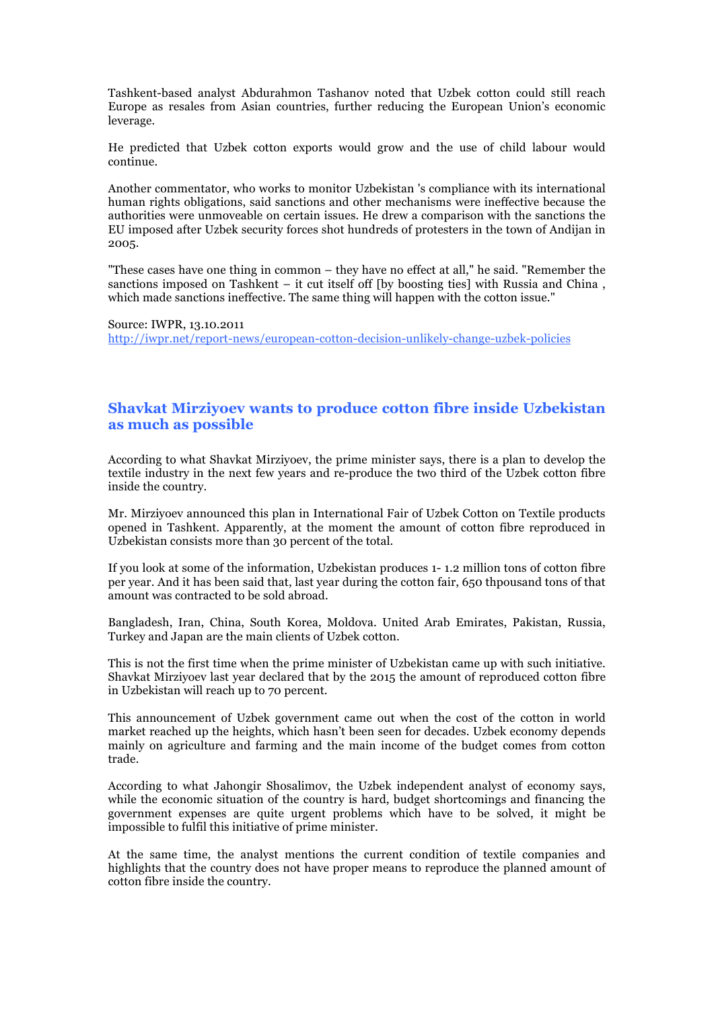Tashkent-based analyst Abdurahmon Tashanov noted that Uzbek cotton could still reach Europe as resales from Asian countries, further reducing the European Union's economic leverage.

He predicted that Uzbek cotton exports would grow and the use of child labour would continue.

Another commentator, who works to monitor Uzbekistan 's compliance with its international human rights obligations, said sanctions and other mechanisms were ineffective because the authorities were unmoveable on certain issues. He drew a comparison with the sanctions the EU imposed after Uzbek security forces shot hundreds of protesters in the town of Andijan in 2005.

"These cases have one thing in common – they have no effect at all," he said. "Remember the sanctions imposed on Tashkent – it cut itself off [by boosting ties] with Russia and China , which made sanctions ineffective. The same thing will happen with the cotton issue."

Source: IWPR, 13.10.2011 http://iwpr.net/report-news/european-cotton-decision-unlikely-change-uzbek-policies

# **Shavkat Mirziyoev wants to produce cotton fibre inside Uzbekistan as much as possible**

According to what Shavkat Mirziyoev, the prime minister says, there is a plan to develop the textile industry in the next few years and re-produce the two third of the Uzbek cotton fibre inside the country.

Mr. Mirziyoev announced this plan in International Fair of Uzbek Cotton on Textile products opened in Tashkent. Apparently, at the moment the amount of cotton fibre reproduced in Uzbekistan consists more than 30 percent of the total.

If you look at some of the information, Uzbekistan produces 1- 1.2 million tons of cotton fibre per year. And it has been said that, last year during the cotton fair, 650 thpousand tons of that amount was contracted to be sold abroad.

Bangladesh, Iran, China, South Korea, Moldova. United Arab Emirates, Pakistan, Russia, Turkey and Japan are the main clients of Uzbek cotton.

This is not the first time when the prime minister of Uzbekistan came up with such initiative. Shavkat Mirziyoev last year declared that by the 2015 the amount of reproduced cotton fibre in Uzbekistan will reach up to 70 percent.

This announcement of Uzbek government came out when the cost of the cotton in world market reached up the heights, which hasn't been seen for decades. Uzbek economy depends mainly on agriculture and farming and the main income of the budget comes from cotton trade.

According to what Jahongir Shosalimov, the Uzbek independent analyst of economy says, while the economic situation of the country is hard, budget shortcomings and financing the government expenses are quite urgent problems which have to be solved, it might be impossible to fulfil this initiative of prime minister.

At the same time, the analyst mentions the current condition of textile companies and highlights that the country does not have proper means to reproduce the planned amount of cotton fibre inside the country.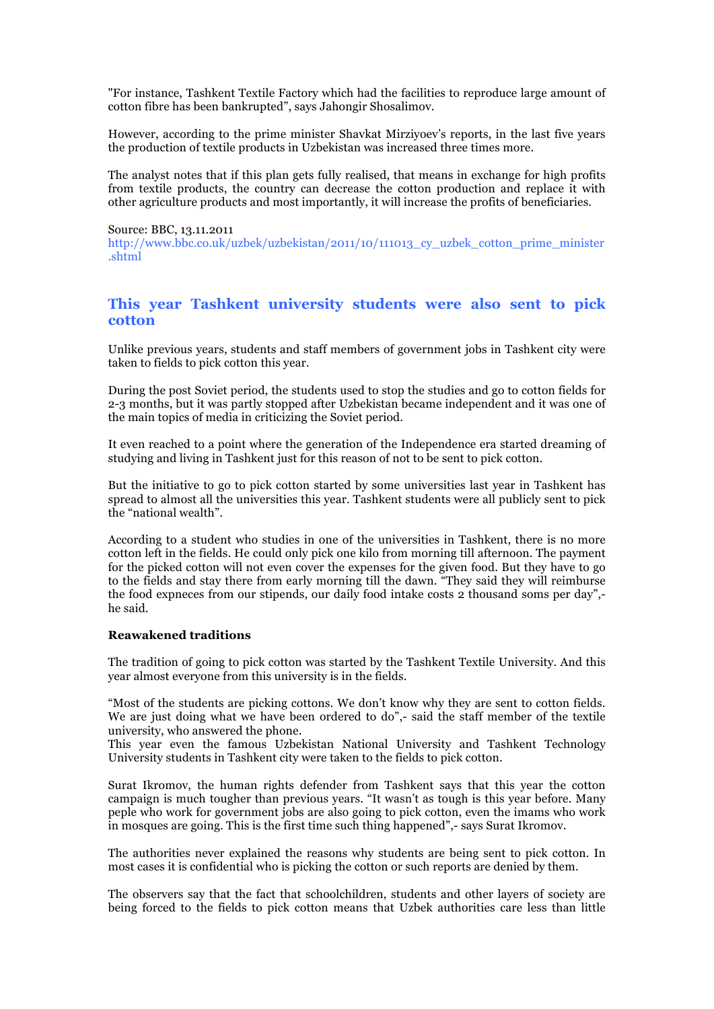"For instance, Tashkent Textile Factory which had the facilities to reproduce large amount of cotton fibre has been bankrupted", says Jahongir Shosalimov.

However, according to the prime minister Shavkat Mirziyoev's reports, in the last five years the production of textile products in Uzbekistan was increased three times more.

The analyst notes that if this plan gets fully realised, that means in exchange for high profits from textile products, the country can decrease the cotton production and replace it with other agriculture products and most importantly, it will increase the profits of beneficiaries.

#### Source: BBC, 13.11.2011

http://www.bbc.co.uk/uzbek/uzbekistan/2011/10/111013\_cy\_uzbek\_cotton\_prime\_minister .shtml

# **This year Tashkent university students were also sent to pick cotton**

Unlike previous years, students and staff members of government jobs in Tashkent city were taken to fields to pick cotton this year.

During the post Soviet period, the students used to stop the studies and go to cotton fields for 2-3 months, but it was partly stopped after Uzbekistan became independent and it was one of the main topics of media in criticizing the Soviet period.

It even reached to a point where the generation of the Independence era started dreaming of studying and living in Tashkent just for this reason of not to be sent to pick cotton.

But the initiative to go to pick cotton started by some universities last year in Tashkent has spread to almost all the universities this year. Tashkent students were all publicly sent to pick the "national wealth".

According to a student who studies in one of the universities in Tashkent, there is no more cotton left in the fields. He could only pick one kilo from morning till afternoon. The payment for the picked cotton will not even cover the expenses for the given food. But they have to go to the fields and stay there from early morning till the dawn. "They said they will reimburse the food expneces from our stipends, our daily food intake costs 2 thousand soms per day", he said.

#### **Reawakened traditions**

The tradition of going to pick cotton was started by the Tashkent Textile University. And this year almost everyone from this university is in the fields.

"Most of the students are picking cottons. We don't know why they are sent to cotton fields. We are just doing what we have been ordered to do",- said the staff member of the textile university, who answered the phone.

This year even the famous Uzbekistan National University and Tashkent Technology University students in Tashkent city were taken to the fields to pick cotton.

Surat Ikromov, the human rights defender from Tashkent says that this year the cotton campaign is much tougher than previous years. "It wasn't as tough is this year before. Many peple who work for government jobs are also going to pick cotton, even the imams who work in mosques are going. This is the first time such thing happened",- says Surat Ikromov.

The authorities never explained the reasons why students are being sent to pick cotton. In most cases it is confidential who is picking the cotton or such reports are denied by them.

The observers say that the fact that schoolchildren, students and other layers of society are being forced to the fields to pick cotton means that Uzbek authorities care less than little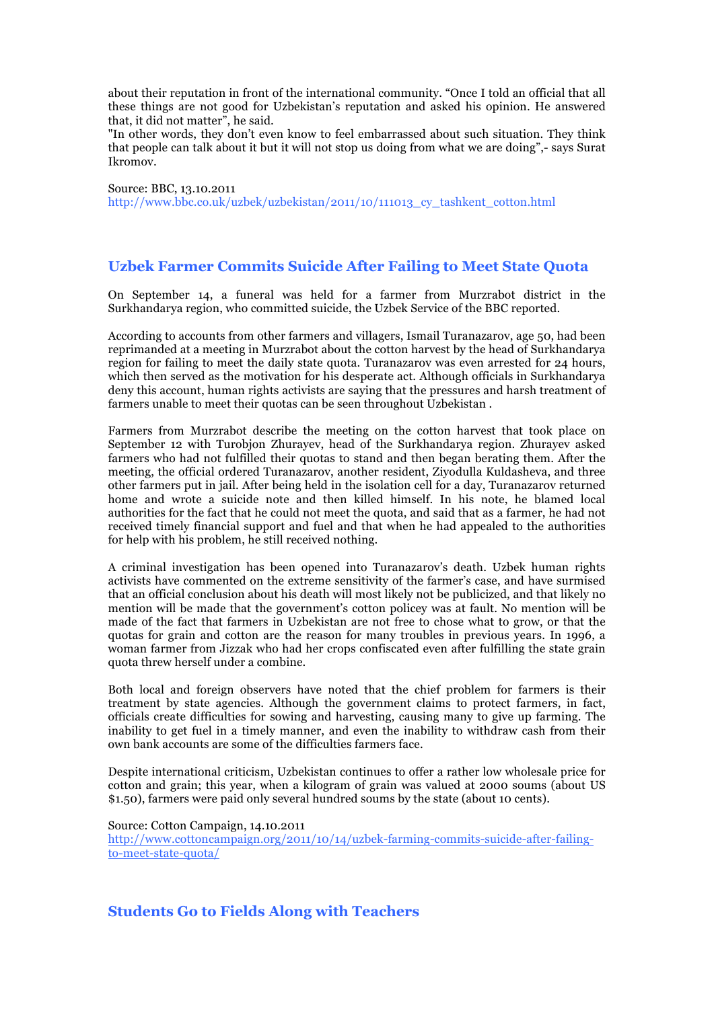about their reputation in front of the international community. "Once I told an official that all these things are not good for Uzbekistan's reputation and asked his opinion. He answered that, it did not matter", he said.

"In other words, they don't even know to feel embarrassed about such situation. They think that people can talk about it but it will not stop us doing from what we are doing",- says Surat Ikromov.

Source: BBC, 13.10.2011 http://www.bbc.co.uk/uzbek/uzbekistan/2011/10/111013\_cy\_tashkent\_cotton.html

# **Uzbek Farmer Commits Suicide After Failing to Meet State Quota**

On September 14, a funeral was held for a farmer from Murzrabot district in the Surkhandarya region, who committed suicide, the Uzbek Service of the BBC reported.

According to accounts from other farmers and villagers, Ismail Turanazarov, age 50, had been reprimanded at a meeting in Murzrabot about the cotton harvest by the head of Surkhandarya region for failing to meet the daily state quota. Turanazarov was even arrested for 24 hours, which then served as the motivation for his desperate act. Although officials in Surkhandarya deny this account, human rights activists are saying that the pressures and harsh treatment of farmers unable to meet their quotas can be seen throughout Uzbekistan .

Farmers from Murzrabot describe the meeting on the cotton harvest that took place on September 12 with Turobjon Zhurayev, head of the Surkhandarya region. Zhurayev asked farmers who had not fulfilled their quotas to stand and then began berating them. After the meeting, the official ordered Turanazarov, another resident, Ziyodulla Kuldasheva, and three other farmers put in jail. After being held in the isolation cell for a day, Turanazarov returned home and wrote a suicide note and then killed himself. In his note, he blamed local authorities for the fact that he could not meet the quota, and said that as a farmer, he had not received timely financial support and fuel and that when he had appealed to the authorities for help with his problem, he still received nothing.

A criminal investigation has been opened into Turanazarov's death. Uzbek human rights activists have commented on the extreme sensitivity of the farmer's case, and have surmised that an official conclusion about his death will most likely not be publicized, and that likely no mention will be made that the government's cotton policey was at fault. No mention will be made of the fact that farmers in Uzbekistan are not free to chose what to grow, or that the quotas for grain and cotton are the reason for many troubles in previous years. In 1996, a woman farmer from Jizzak who had her crops confiscated even after fulfilling the state grain quota threw herself under a combine.

Both local and foreign observers have noted that the chief problem for farmers is their treatment by state agencies. Although the government claims to protect farmers, in fact, officials create difficulties for sowing and harvesting, causing many to give up farming. The inability to get fuel in a timely manner, and even the inability to withdraw cash from their own bank accounts are some of the difficulties farmers face.

Despite international criticism, Uzbekistan continues to offer a rather low wholesale price for cotton and grain; this year, when a kilogram of grain was valued at 2000 soums (about US \$1.50), farmers were paid only several hundred soums by the state (about 10 cents).

Source: Cotton Campaign, 14.10.2011 http://www.cottoncampaign.org/2011/10/14/uzbek-farming-commits-suicide-after-failingto-meet-state-quota/

**Students Go to Fields Along with Teachers**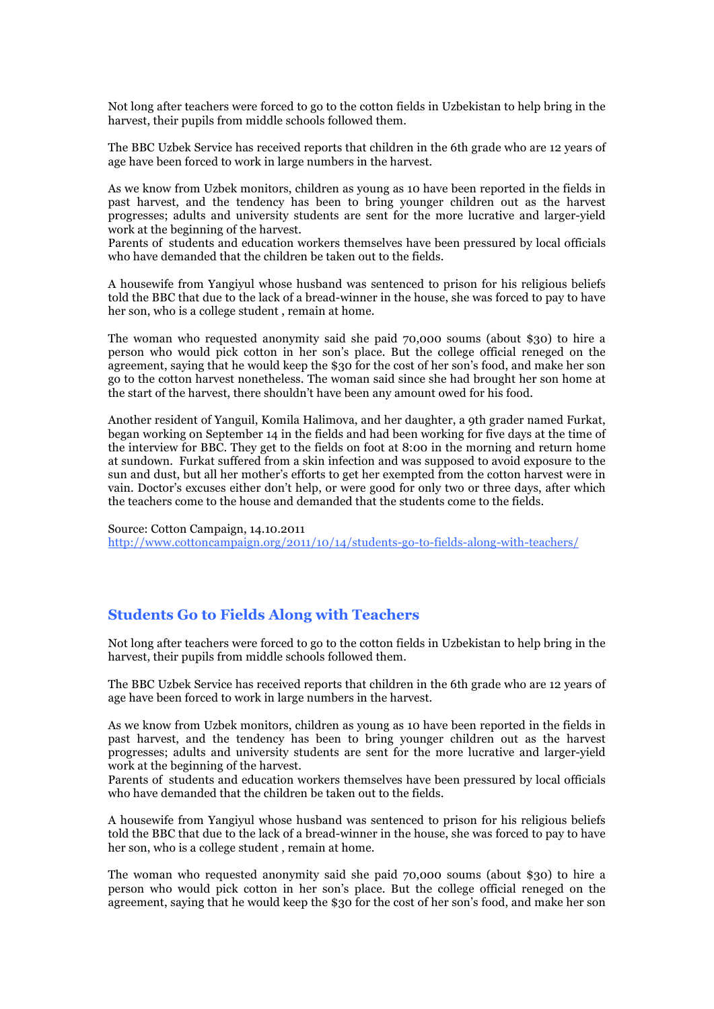Not long after teachers were forced to go to the cotton fields in Uzbekistan to help bring in the harvest, their pupils from middle schools followed them.

The BBC Uzbek Service has received reports that children in the 6th grade who are 12 years of age have been forced to work in large numbers in the harvest.

As we know from Uzbek monitors, children as young as 10 have been reported in the fields in past harvest, and the tendency has been to bring younger children out as the harvest progresses; adults and university students are sent for the more lucrative and larger-yield work at the beginning of the harvest.

Parents of students and education workers themselves have been pressured by local officials who have demanded that the children be taken out to the fields.

A housewife from Yangiyul whose husband was sentenced to prison for his religious beliefs told the BBC that due to the lack of a bread-winner in the house, she was forced to pay to have her son, who is a college student , remain at home.

The woman who requested anonymity said she paid 70,000 soums (about \$30) to hire a person who would pick cotton in her son's place. But the college official reneged on the agreement, saying that he would keep the \$30 for the cost of her son's food, and make her son go to the cotton harvest nonetheless. The woman said since she had brought her son home at the start of the harvest, there shouldn't have been any amount owed for his food.

Another resident of Yanguil, Komila Halimova, and her daughter, a 9th grader named Furkat, began working on September 14 in the fields and had been working for five days at the time of the interview for BBC. They get to the fields on foot at 8:00 in the morning and return home at sundown. Furkat suffered from a skin infection and was supposed to avoid exposure to the sun and dust, but all her mother's efforts to get her exempted from the cotton harvest were in vain. Doctor's excuses either don't help, or were good for only two or three days, after which the teachers come to the house and demanded that the students come to the fields.

Source: Cotton Campaign, 14.10.2011 http://www.cottoncampaign.org/2011/10/14/students-go-to-fields-along-with-teachers/

### **Students Go to Fields Along with Teachers**

Not long after teachers were forced to go to the cotton fields in Uzbekistan to help bring in the harvest, their pupils from middle schools followed them.

The BBC Uzbek Service has received reports that children in the 6th grade who are 12 years of age have been forced to work in large numbers in the harvest.

As we know from Uzbek monitors, children as young as 10 have been reported in the fields in past harvest, and the tendency has been to bring younger children out as the harvest progresses; adults and university students are sent for the more lucrative and larger-yield work at the beginning of the harvest.

Parents of students and education workers themselves have been pressured by local officials who have demanded that the children be taken out to the fields.

A housewife from Yangiyul whose husband was sentenced to prison for his religious beliefs told the BBC that due to the lack of a bread-winner in the house, she was forced to pay to have her son, who is a college student , remain at home.

The woman who requested anonymity said she paid 70,000 soums (about \$30) to hire a person who would pick cotton in her son's place. But the college official reneged on the agreement, saying that he would keep the \$30 for the cost of her son's food, and make her son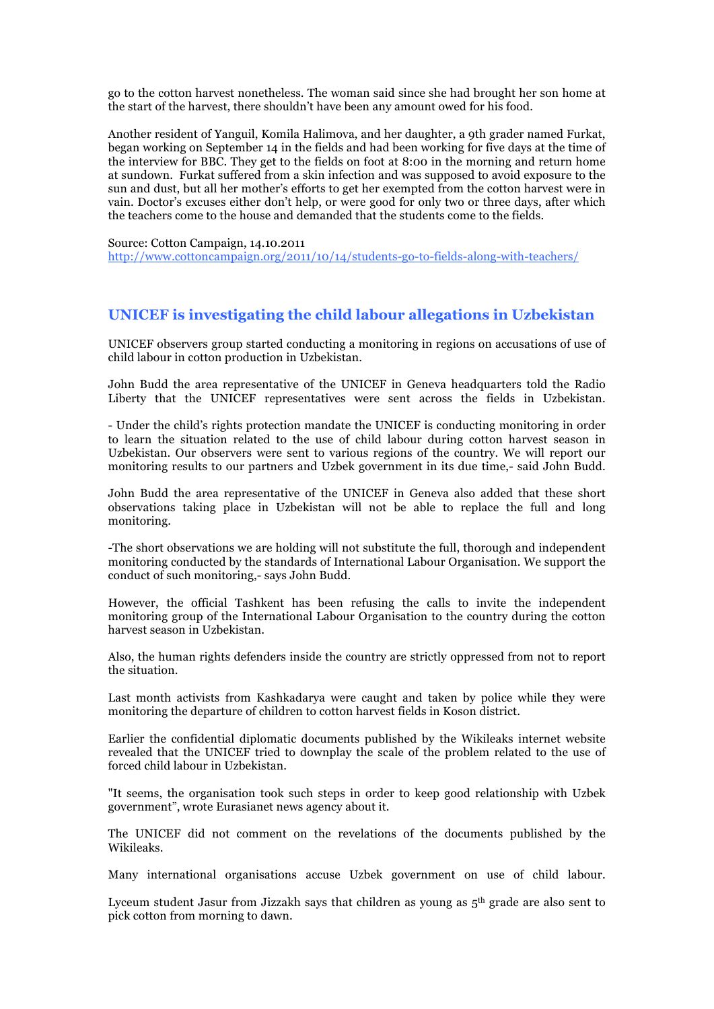go to the cotton harvest nonetheless. The woman said since she had brought her son home at the start of the harvest, there shouldn't have been any amount owed for his food.

Another resident of Yanguil, Komila Halimova, and her daughter, a 9th grader named Furkat, began working on September 14 in the fields and had been working for five days at the time of the interview for BBC. They get to the fields on foot at 8:00 in the morning and return home at sundown. Furkat suffered from a skin infection and was supposed to avoid exposure to the sun and dust, but all her mother's efforts to get her exempted from the cotton harvest were in vain. Doctor's excuses either don't help, or were good for only two or three days, after which the teachers come to the house and demanded that the students come to the fields.

Source: Cotton Campaign, 14.10.2011 http://www.cottoncampaign.org/2011/10/14/students-go-to-fields-along-with-teachers/

# **UNICEF is investigating the child labour allegations in Uzbekistan**

UNICEF observers group started conducting a monitoring in regions on accusations of use of child labour in cotton production in Uzbekistan.

John Budd the area representative of the UNICEF in Geneva headquarters told the Radio Liberty that the UNICEF representatives were sent across the fields in Uzbekistan.

- Under the child's rights protection mandate the UNICEF is conducting monitoring in order to learn the situation related to the use of child labour during cotton harvest season in Uzbekistan. Our observers were sent to various regions of the country. We will report our monitoring results to our partners and Uzbek government in its due time,- said John Budd.

John Budd the area representative of the UNICEF in Geneva also added that these short observations taking place in Uzbekistan will not be able to replace the full and long monitoring.

-The short observations we are holding will not substitute the full, thorough and independent monitoring conducted by the standards of International Labour Organisation. We support the conduct of such monitoring,- says John Budd.

However, the official Tashkent has been refusing the calls to invite the independent monitoring group of the International Labour Organisation to the country during the cotton harvest season in Uzbekistan.

Also, the human rights defenders inside the country are strictly oppressed from not to report the situation.

Last month activists from Kashkadarya were caught and taken by police while they were monitoring the departure of children to cotton harvest fields in Koson district.

Earlier the confidential diplomatic documents published by the Wikileaks internet website revealed that the UNICEF tried to downplay the scale of the problem related to the use of forced child labour in Uzbekistan.

"It seems, the organisation took such steps in order to keep good relationship with Uzbek government", wrote Eurasianet news agency about it.

The UNICEF did not comment on the revelations of the documents published by the Wikileaks.

Many international organisations accuse Uzbek government on use of child labour.

Lyceum student Jasur from Jizzakh says that children as young as  $5<sup>th</sup>$  grade are also sent to pick cotton from morning to dawn.